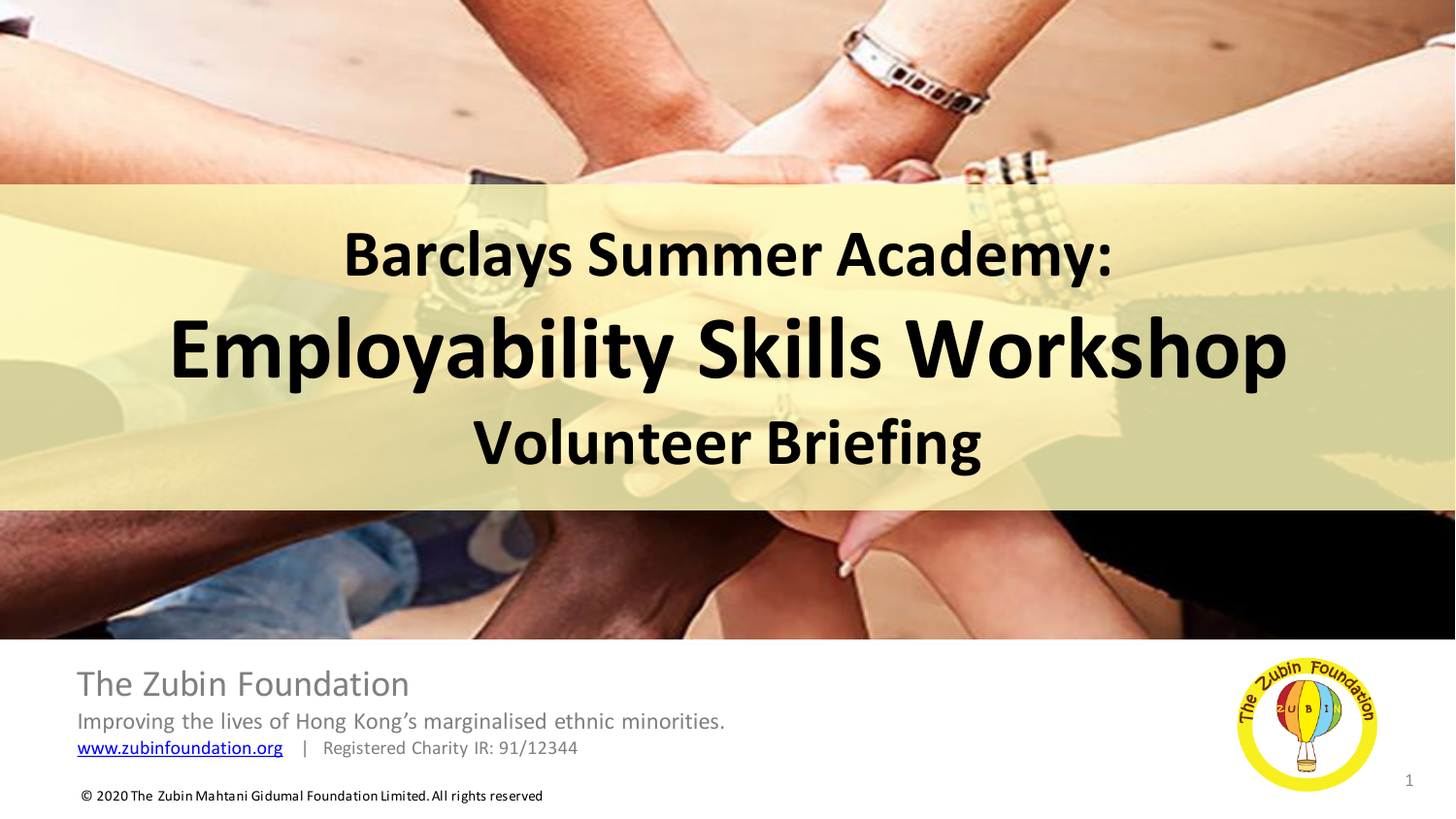# **Barclays Summer Academy: Employability Skills Workshop Volunteer Briefing**



The Zubin Foundation

Improving the lives of Hong Kong's marginalised ethnic minorities. [www.zubinfoundation.org](http://www.zubinfoundation.org/) | Registered Charity IR: 91/12344

1

© 2020 The Zubin Mahtani Gidumal Foundation Limited. All rights reserved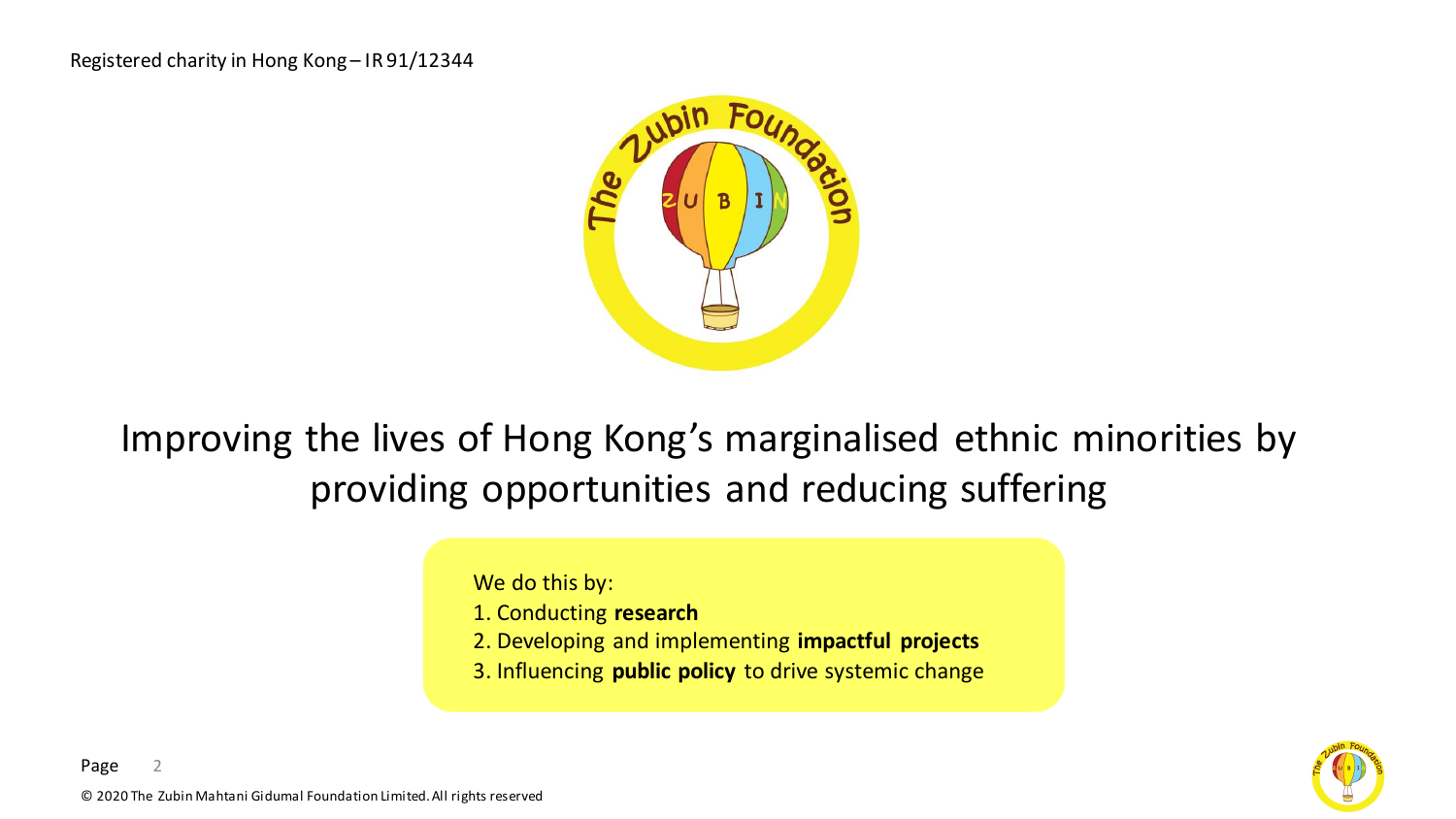

Improving the lives of Hong Kong's marginalised ethnic minorities by providing opportunities and reducing suffering

We do this by:

- 1. Conducting **research**
- 2. Developing and implementing **impactful projects**
- 3. Influencing **public policy** to drive systemic change

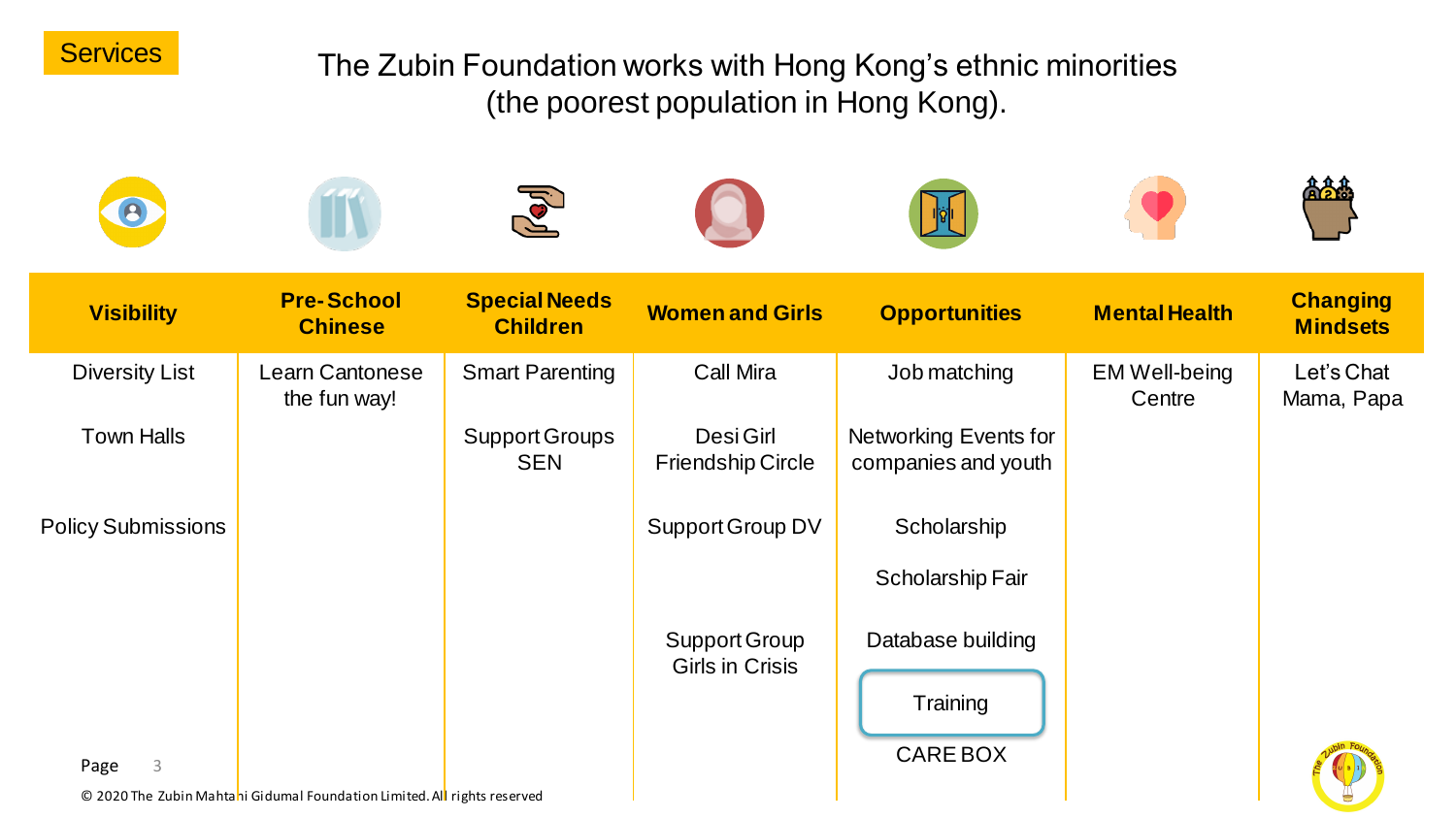

#### The Zubin Foundation works with Hong Kong's ethnic minorities (the poorest population in Hong Kong).

|                           |                                                                          | $\sqrt{2}$                              |                                         |                                                     |                                |                                    |
|---------------------------|--------------------------------------------------------------------------|-----------------------------------------|-----------------------------------------|-----------------------------------------------------|--------------------------------|------------------------------------|
| <b>Visibility</b>         | <b>Pre-School</b><br><b>Chinese</b>                                      | <b>Special Needs</b><br><b>Children</b> | <b>Women and Girls</b>                  | <b>Opportunities</b>                                | <b>Mental Health</b>           | <b>Changing</b><br><b>Mindsets</b> |
| <b>Diversity List</b>     | Learn Cantonese<br>the fun way!                                          | <b>Smart Parenting</b>                  | <b>Call Mira</b>                        | Job matching                                        | <b>EM Well-being</b><br>Centre | Let's Chat<br>Mama, Papa           |
| <b>Town Halls</b>         |                                                                          | <b>Support Groups</b><br><b>SEN</b>     | Desi Girl<br><b>Friendship Circle</b>   | <b>Networking Events for</b><br>companies and youth |                                |                                    |
| <b>Policy Submissions</b> |                                                                          |                                         | Support Group DV                        | Scholarship                                         |                                |                                    |
|                           |                                                                          |                                         |                                         | <b>Scholarship Fair</b>                             |                                |                                    |
|                           |                                                                          |                                         | Support Group<br><b>Girls in Crisis</b> | Database building                                   |                                |                                    |
|                           |                                                                          |                                         |                                         | Training                                            |                                |                                    |
| 3<br>Page                 |                                                                          |                                         |                                         | <b>CARE BOX</b>                                     |                                |                                    |
|                           | © 2020 The Zubin Mahtahi Gidumal Foundation Limited. All rights reserved |                                         |                                         |                                                     |                                |                                    |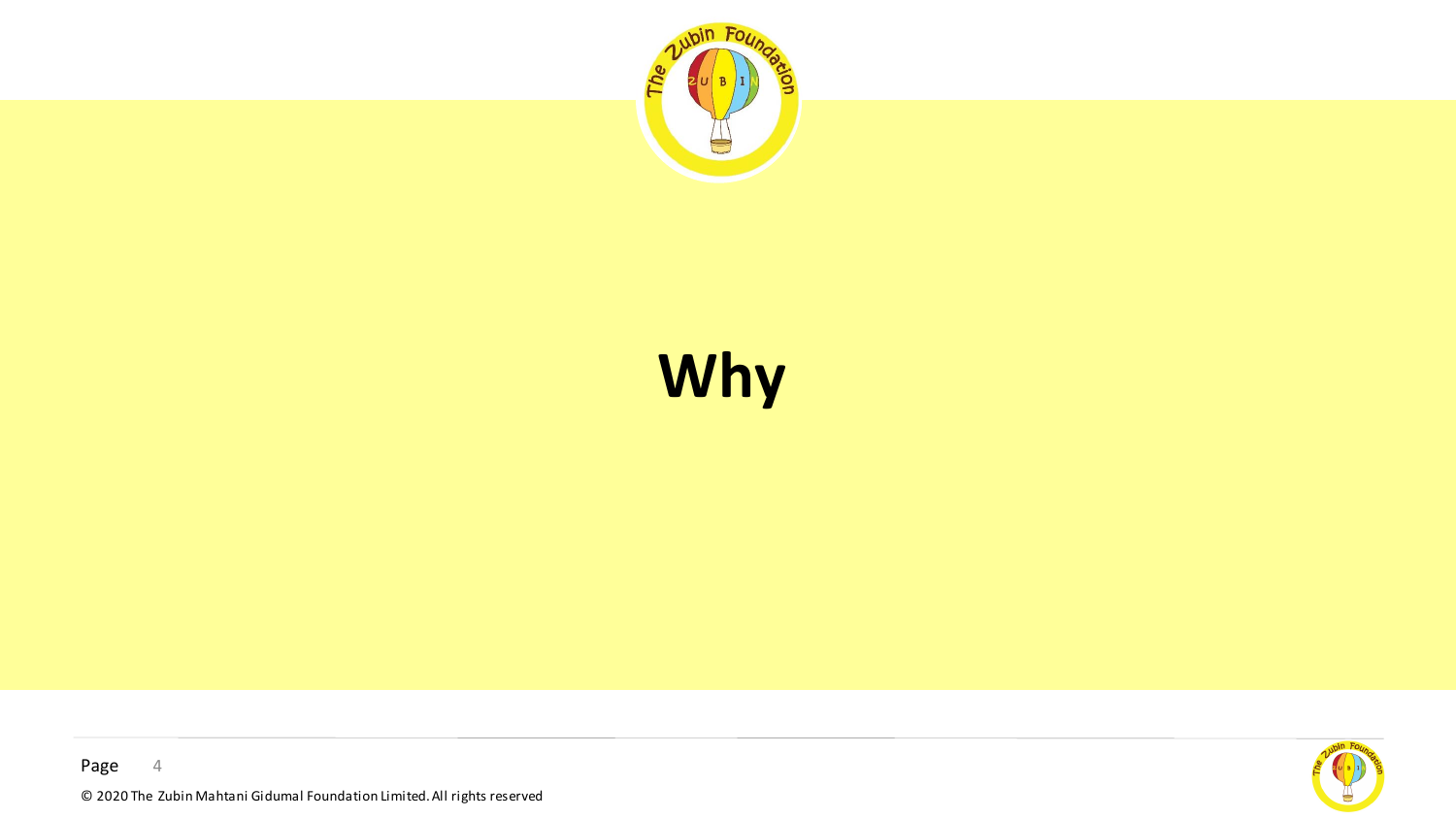

# **Why**

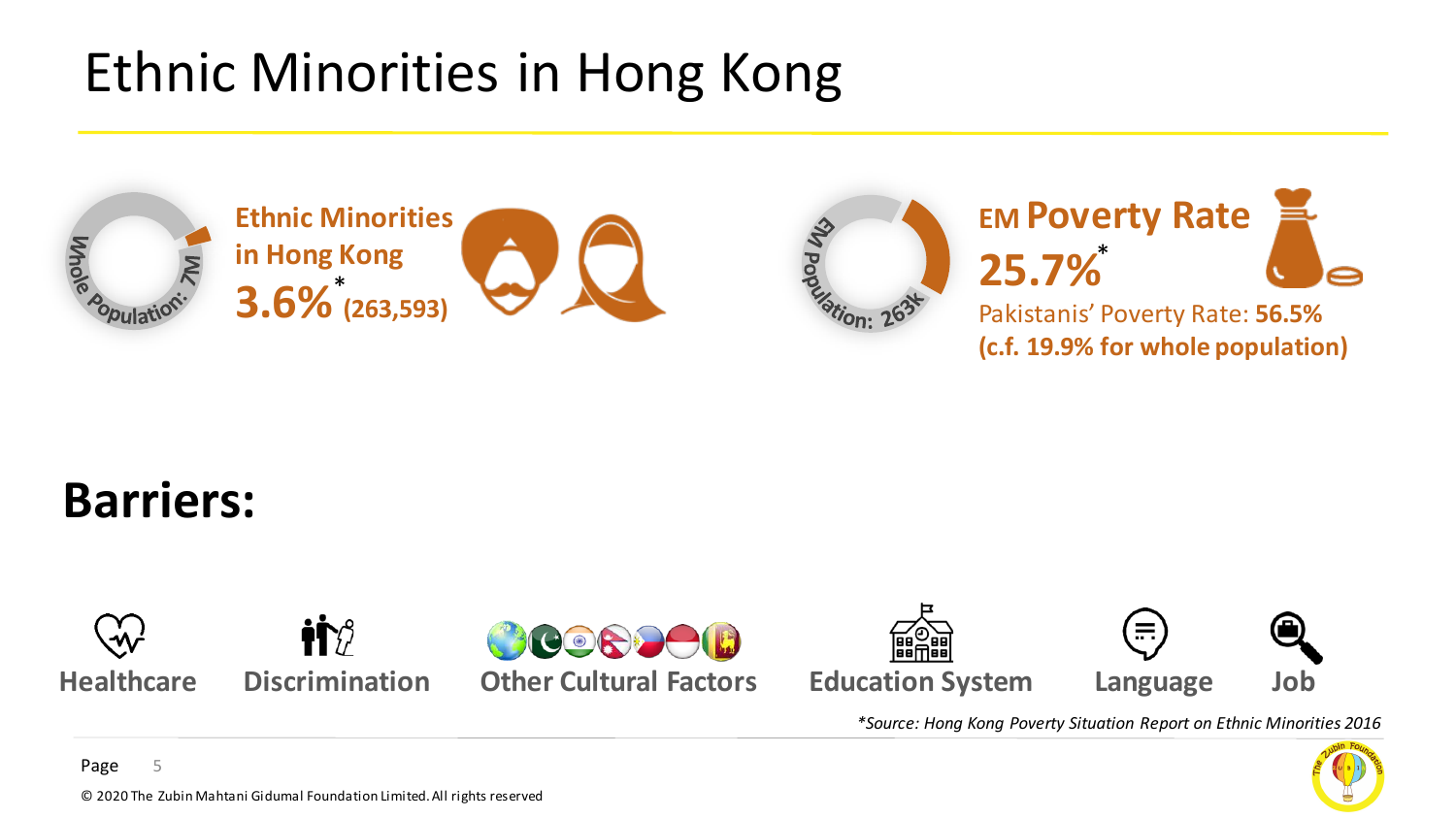### Ethnic Minorities in Hong Kong











#### **Barriers:**



 $\mathbf{H}\mathbf{R}$ 







*\*Source: Hong Kong Poverty Situation Report on Ethnic Minorities 2016*



Page 5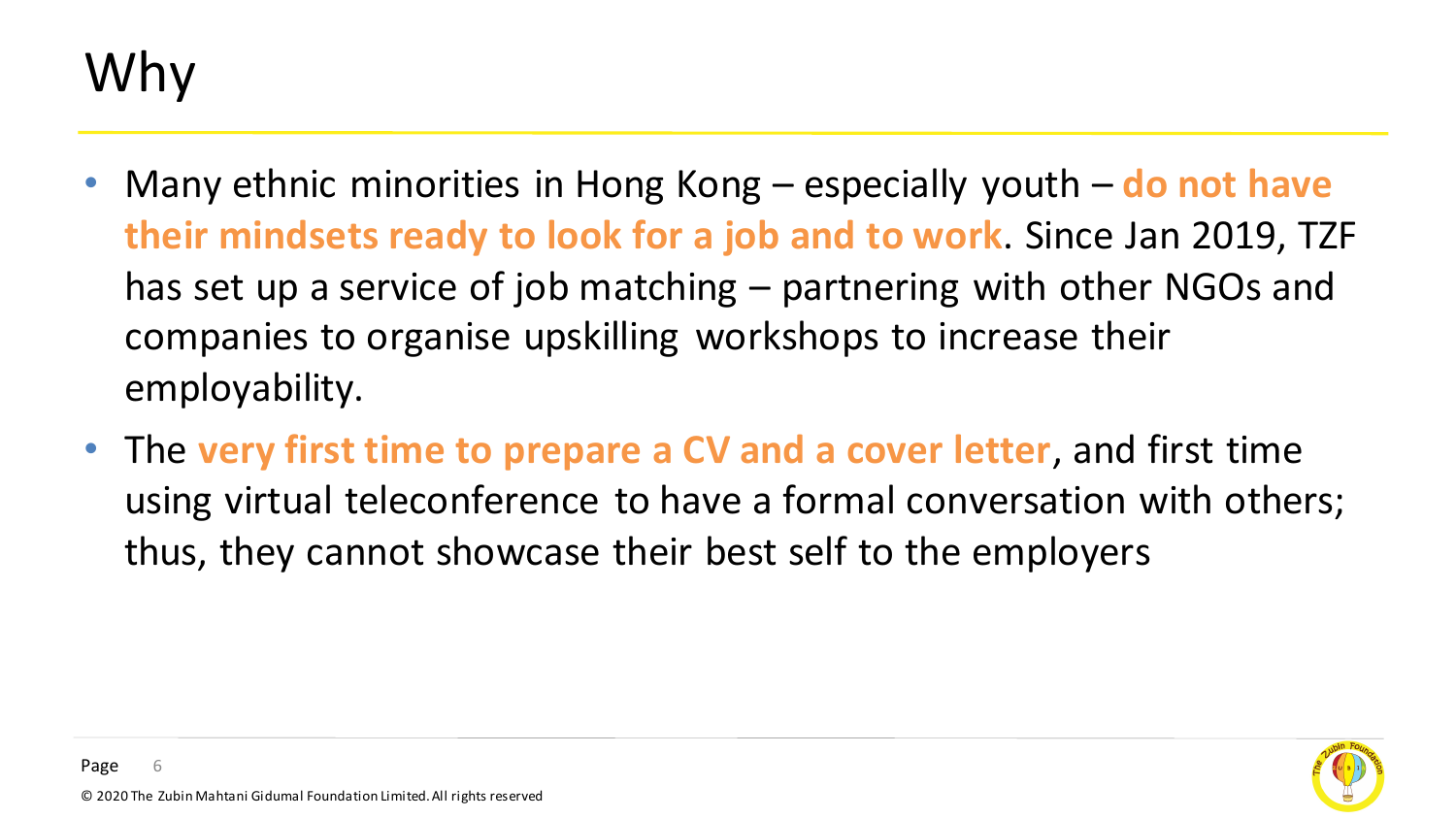## Why

- Many ethnic minorities in Hong Kong especially youth **do not have their mindsets ready to look for a job and to work**. Since Jan 2019, TZF has set up a service of job matching – partnering with other NGOs and companies to organise upskilling workshops to increase their employability.
- The **very first time to prepare a CV and a cover letter**, and first time using virtual teleconference to have a formal conversation with others; thus, they cannot showcase their best self to the employers

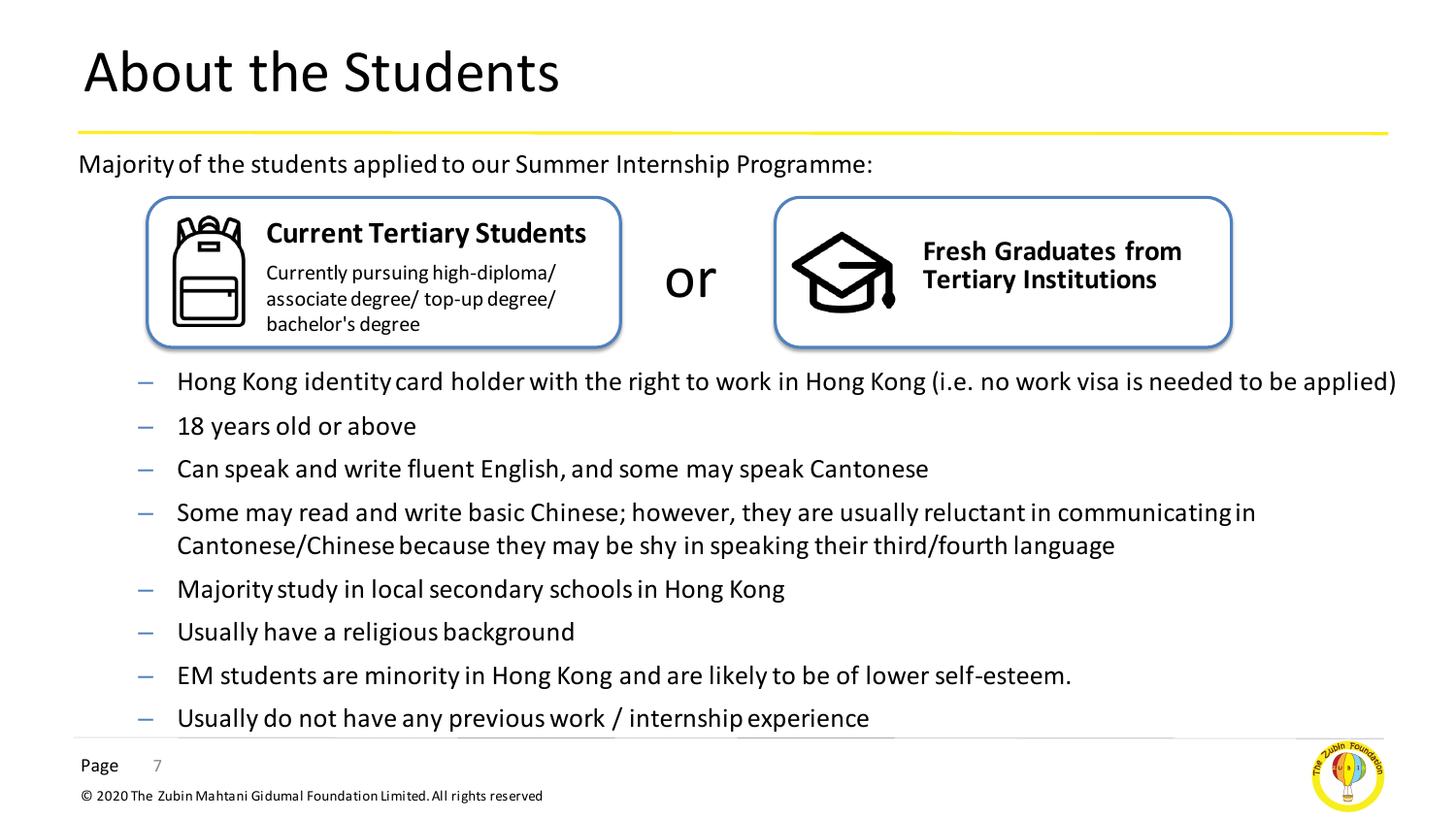### About the Students

Majority of the students applied to our Summer Internship Programme:



#### **Current Tertiary Students**

Currently pursuing high-diploma/ associate degree/ top-up degree/ bachelor's degree



**Fresh Graduates from Tertiary Institutions**

- Hong Kong identity card holder with the right to work in Hong Kong (i.e. no work visa is needed to be applied)
- 18 years old or above
- Can speak and write fluent English, and some may speak Cantonese
- Some may read and write basic Chinese; however, they are usually reluctant in communicating in Cantonese/Chinese because they may be shy in speaking their third/fourth language
- Majority study in local secondary schools in Hong Kong
- Usually have a religious background
- EM students are minority in Hong Kong and are likely to be of lower self-esteem.
- Usually do not have any previous work / internship experience

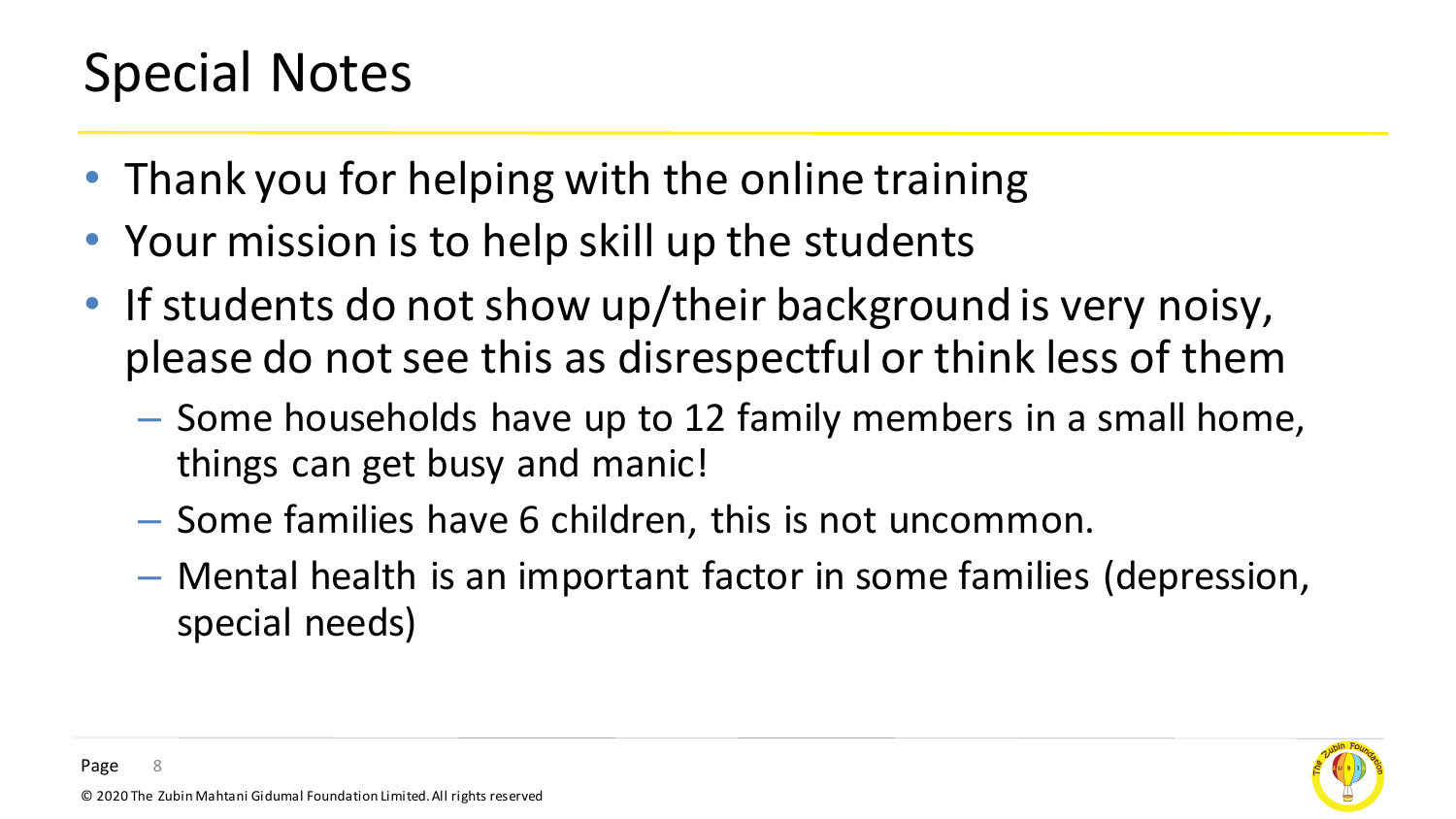### Special Notes

- Thank you for helping with the online training
- Your mission is to help skill up the students
- If students do not show up/their background is very noisy, please do not see this as disrespectful or think less of them
	- Some households have up to 12 family members in a small home, things can get busy and manic!
	- Some families have 6 children, this is not uncommon.
	- Mental health is an important factor in some families (depression, special needs)

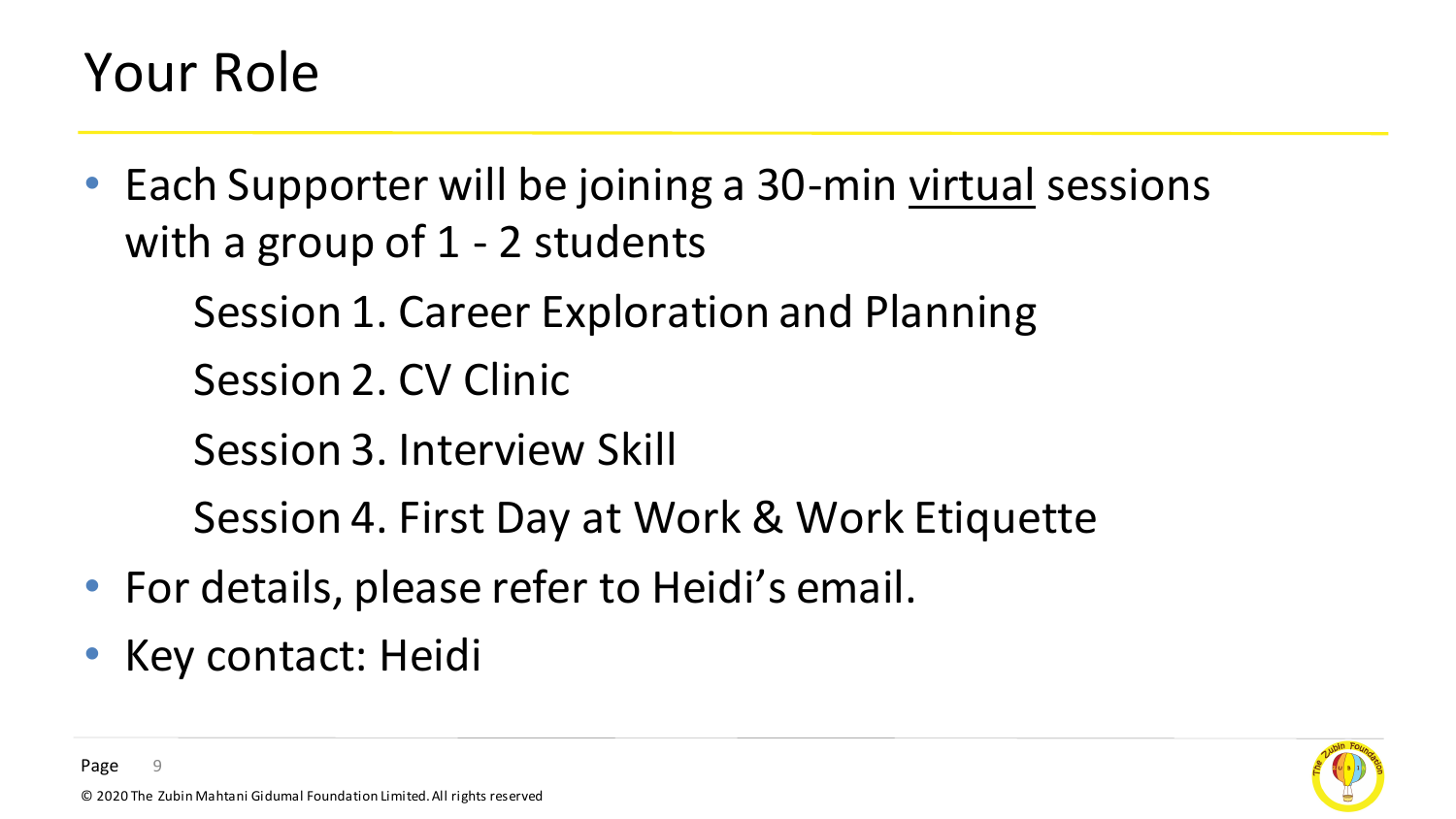#### Your Role

• Each Supporter will be joining a 30-min virtual sessions with a group of 1 - 2 students

Session 1. Career Exploration and Planning

Session 2. CV Clinic

Session 3. Interview Skill

Session 4. First Day at Work & Work Etiquette

- For details, please refer to Heidi's email.
- Key contact: Heidi